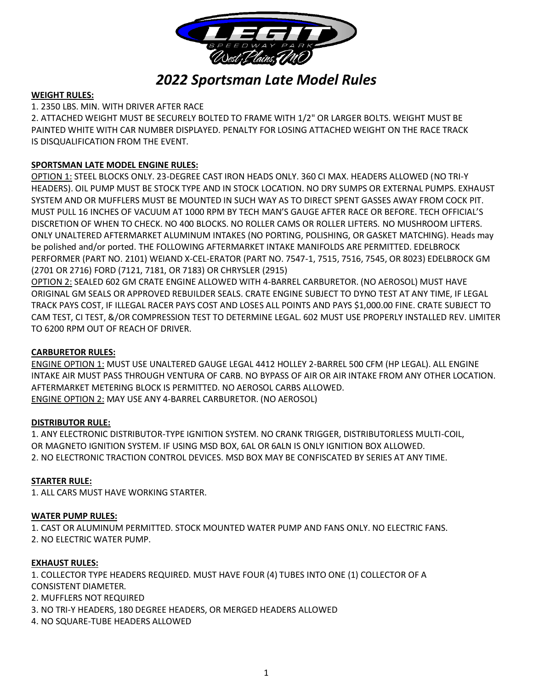

# *2022 Sportsman Late Model Rules*

## **WEIGHT RULES:**

## 1. 2350 LBS. MIN. WITH DRIVER AFTER RACE

2. ATTACHED WEIGHT MUST BE SECURELY BOLTED TO FRAME WITH 1/2" OR LARGER BOLTS. WEIGHT MUST BE PAINTED WHITE WITH CAR NUMBER DISPLAYED. PENALTY FOR LOSING ATTACHED WEIGHT ON THE RACE TRACK IS DISQUALIFICATION FROM THE EVENT.

## **SPORTSMAN LATE MODEL ENGINE RULES:**

OPTION 1: STEEL BLOCKS ONLY. 23-DEGREE CAST IRON HEADS ONLY. 360 CI MAX. HEADERS ALLOWED (NO TRI-Y HEADERS). OIL PUMP MUST BE STOCK TYPE AND IN STOCK LOCATION. NO DRY SUMPS OR EXTERNAL PUMPS. EXHAUST SYSTEM AND OR MUFFLERS MUST BE MOUNTED IN SUCH WAY AS TO DIRECT SPENT GASSES AWAY FROM COCK PIT. MUST PULL 16 INCHES OF VACUUM AT 1000 RPM BY TECH MAN'S GAUGE AFTER RACE OR BEFORE. TECH OFFICIAL'S DISCRETION OF WHEN TO CHECK. NO 400 BLOCKS. NO ROLLER CAMS OR ROLLER LIFTERS. NO MUSHROOM LIFTERS. ONLY UNALTERED AFTERMARKET ALUMINUM INTAKES (NO PORTING, POLISHING, OR GASKET MATCHING). Heads may be polished and/or ported. THE FOLLOWING AFTERMARKET INTAKE MANIFOLDS ARE PERMITTED. EDELBROCK PERFORMER (PART NO. 2101) WEIAND X-CEL-ERATOR (PART NO. 7547-1, 7515, 7516, 7545, OR 8023) EDELBROCK GM (2701 OR 2716) FORD (7121, 7181, OR 7183) OR CHRYSLER (2915)

OPTION 2: SEALED 602 GM CRATE ENGINE ALLOWED WITH 4-BARREL CARBURETOR. (NO AEROSOL) MUST HAVE ORIGINAL GM SEALS OR APPROVED REBUILDER SEALS. CRATE ENGINE SUBJECT TO DYNO TEST AT ANY TIME, IF LEGAL TRACK PAYS COST, IF ILLEGAL RACER PAYS COST AND LOSES ALL POINTS AND PAYS \$1,000.00 FINE. CRATE SUBJECT TO CAM TEST, CI TEST, &/OR COMPRESSION TEST TO DETERMINE LEGAL. 602 MUST USE PROPERLY INSTALLED REV. LIMITER TO 6200 RPM OUT OF REACH OF DRIVER.

## **CARBURETOR RULES:**

ENGINE OPTION 1: MUST USE UNALTERED GAUGE LEGAL 4412 HOLLEY 2-BARREL 500 CFM (HP LEGAL). ALL ENGINE INTAKE AIR MUST PASS THROUGH VENTURA OF CARB. NO BYPASS OF AIR OR AIR INTAKE FROM ANY OTHER LOCATION. AFTERMARKET METERING BLOCK IS PERMITTED. NO AEROSOL CARBS ALLOWED. ENGINE OPTION 2: MAY USE ANY 4-BARREL CARBURETOR. (NO AEROSOL)

## **DISTRIBUTOR RULE:**

1. ANY ELECTRONIC DISTRIBUTOR-TYPE IGNITION SYSTEM. NO CRANK TRIGGER, DISTRIBUTORLESS MULTI-COIL, OR MAGNETO IGNITION SYSTEM. IF USING MSD BOX, 6AL OR 6ALN IS ONLY IGNITION BOX ALLOWED. 2. NO ELECTRONIC TRACTION CONTROL DEVICES. MSD BOX MAY BE CONFISCATED BY SERIES AT ANY TIME.

# **STARTER RULE:**

1. ALL CARS MUST HAVE WORKING STARTER.

## **WATER PUMP RULES:**

1. CAST OR ALUMINUM PERMITTED. STOCK MOUNTED WATER PUMP AND FANS ONLY. NO ELECTRIC FANS. 2. NO ELECTRIC WATER PUMP.

## **EXHAUST RULES:**

1. COLLECTOR TYPE HEADERS REQUIRED. MUST HAVE FOUR (4) TUBES INTO ONE (1) COLLECTOR OF A CONSISTENT DIAMETER. 2. MUFFLERS NOT REQUIRED

- 3. NO TRI-Y HEADERS, 180 DEGREE HEADERS, OR MERGED HEADERS ALLOWED
- 4. NO SQUARE-TUBE HEADERS ALLOWED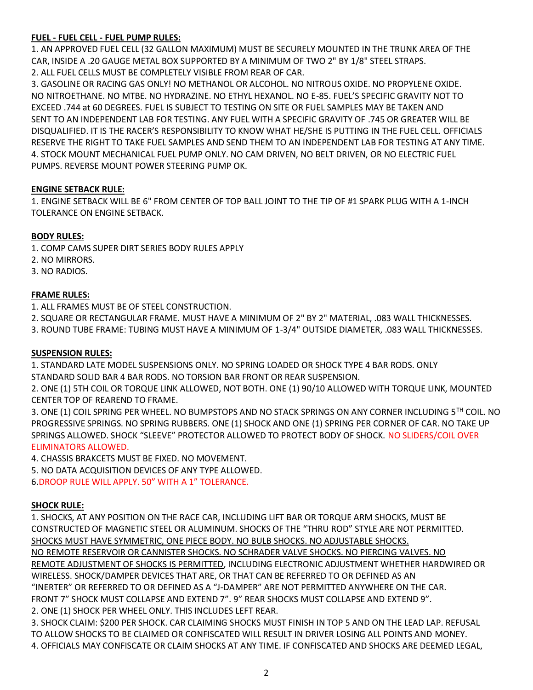# **FUEL - FUEL CELL - FUEL PUMP RULES:**

1. AN APPROVED FUEL CELL (32 GALLON MAXIMUM) MUST BE SECURELY MOUNTED IN THE TRUNK AREA OF THE CAR, INSIDE A .20 GAUGE METAL BOX SUPPORTED BY A MINIMUM OF TWO 2" BY 1/8" STEEL STRAPS. 2. ALL FUEL CELLS MUST BE COMPLETELY VISIBLE FROM REAR OF CAR.

3. GASOLINE OR RACING GAS ONLY! NO METHANOL OR ALCOHOL. NO NITROUS OXIDE. NO PROPYLENE OXIDE. NO NITROETHANE. NO MTBE. NO HYDRAZINE. NO ETHYL HEXANOL. NO E-85. FUEL'S SPECIFIC GRAVITY NOT TO EXCEED .744 at 60 DEGREES. FUEL IS SUBJECT TO TESTING ON SITE OR FUEL SAMPLES MAY BE TAKEN AND SENT TO AN INDEPENDENT LAB FOR TESTING. ANY FUEL WITH A SPECIFIC GRAVITY OF .745 OR GREATER WILL BE DISQUALIFIED. IT IS THE RACER'S RESPONSIBILITY TO KNOW WHAT HE/SHE IS PUTTING IN THE FUEL CELL. OFFICIALS RESERVE THE RIGHT TO TAKE FUEL SAMPLES AND SEND THEM TO AN INDEPENDENT LAB FOR TESTING AT ANY TIME. 4. STOCK MOUNT MECHANICAL FUEL PUMP ONLY. NO CAM DRIVEN, NO BELT DRIVEN, OR NO ELECTRIC FUEL PUMPS. REVERSE MOUNT POWER STEERING PUMP OK.

## **ENGINE SETBACK RULE:**

1. ENGINE SETBACK WILL BE 6" FROM CENTER OF TOP BALL JOINT TO THE TIP OF #1 SPARK PLUG WITH A 1-INCH TOLERANCE ON ENGINE SETBACK.

## **BODY RULES:**

1. COMP CAMS SUPER DIRT SERIES BODY RULES APPLY

- 2. NO MIRRORS.
- 3. NO RADIOS.

# **FRAME RULES:**

1. ALL FRAMES MUST BE OF STEEL CONSTRUCTION.

2. SQUARE OR RECTANGULAR FRAME. MUST HAVE A MINIMUM OF 2" BY 2" MATERIAL, .083 WALL THICKNESSES.

3. ROUND TUBE FRAME: TUBING MUST HAVE A MINIMUM OF 1-3/4" OUTSIDE DIAMETER, .083 WALL THICKNESSES.

## **SUSPENSION RULES:**

1. STANDARD LATE MODEL SUSPENSIONS ONLY. NO SPRING LOADED OR SHOCK TYPE 4 BAR RODS. ONLY STANDARD SOLID BAR 4 BAR RODS. NO TORSION BAR FRONT OR REAR SUSPENSION.

2. ONE (1) 5TH COIL OR TORQUE LINK ALLOWED, NOT BOTH. ONE (1) 90/10 ALLOWED WITH TORQUE LINK, MOUNTED CENTER TOP OF REAREND TO FRAME.

3. ONE (1) COIL SPRING PER WHEEL. NO BUMPSTOPS AND NO STACK SPRINGS ON ANY CORNER INCLUDING 5TH COIL. NO PROGRESSIVE SPRINGS. NO SPRING RUBBERS. ONE (1) SHOCK AND ONE (1) SPRING PER CORNER OF CAR. NO TAKE UP SPRINGS ALLOWED. SHOCK "SLEEVE" PROTECTOR ALLOWED TO PROTECT BODY OF SHOCK. NO SLIDERS/COIL OVER ELIMINATORS ALLOWED.

4. CHASSIS BRAKCETS MUST BE FIXED. NO MOVEMENT.

5. NO DATA ACQUISITION DEVICES OF ANY TYPE ALLOWED.

6.DROOP RULE WILL APPLY. 50" WITH A 1" TOLERANCE.

# **SHOCK RULE:**

1. SHOCKS, AT ANY POSITION ON THE RACE CAR, INCLUDING LIFT BAR OR TORQUE ARM SHOCKS, MUST BE CONSTRUCTED OF MAGNETIC STEEL OR ALUMINUM. SHOCKS OF THE "THRU ROD" STYLE ARE NOT PERMITTED. SHOCKS MUST HAVE SYMMETRIC, ONE PIECE BODY. NO BULB SHOCKS. NO ADJUSTABLE SHOCKS. NO REMOTE RESERVOIR OR CANNISTER SHOCKS. NO SCHRADER VALVE SHOCKS. NO PIERCING VALVES. NO

REMOTE ADJUSTMENT OF SHOCKS IS PERMITTED, INCLUDING ELECTRONIC ADJUSTMENT WHETHER HARDWIRED OR WIRELESS. SHOCK/DAMPER DEVICES THAT ARE, OR THAT CAN BE REFERRED TO OR DEFINED AS AN "INERTER" OR REFERRED TO OR DEFINED AS A "J-DAMPER" ARE NOT PERMITTED ANYWHERE ON THE CAR. FRONT 7" SHOCK MUST COLLAPSE AND EXTEND 7". 9" REAR SHOCKS MUST COLLAPSE AND EXTEND 9". 2. ONE (1) SHOCK PER WHEEL ONLY. THIS INCLUDES LEFT REAR.

3. SHOCK CLAIM: \$200 PER SHOCK. CAR CLAIMING SHOCKS MUST FINISH IN TOP 5 AND ON THE LEAD LAP. REFUSAL TO ALLOW SHOCKS TO BE CLAIMED OR CONFISCATED WILL RESULT IN DRIVER LOSING ALL POINTS AND MONEY. 4. OFFICIALS MAY CONFISCATE OR CLAIM SHOCKS AT ANY TIME. IF CONFISCATED AND SHOCKS ARE DEEMED LEGAL,